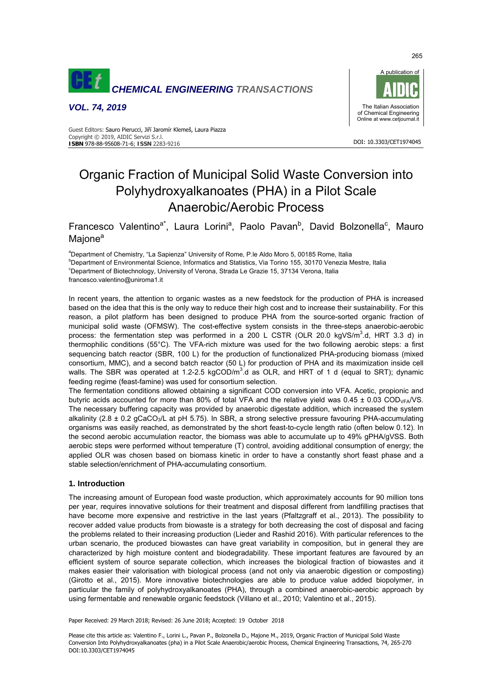

*VOL. 74, 2019* 



DOI: 10.3303/CET1974045

#### Guest Editors: Sauro Pierucci, Jiří Jaromír Klemeš, Laura Piazza Copyright © 2019, AIDIC Servizi S.r.l. **ISBN** 978-88-95608-71-6; **ISSN** 2283-9216

# Organic Fraction of Municipal Solid Waste Conversion into Polyhydroxyalkanoates (PHA) in a Pilot Scale Anaerobic/Aerobic Process

Francesco Valentino<sup>a\*</sup>, Laura Lorini<sup>a</sup>, Paolo Pavan<sup>b</sup>, David Bolzonella<sup>c</sup>, Mauro Majone<sup>a</sup>

a Department of Chemistry, "La Sapienza" University of Rome, P.le Aldo Moro 5, 00185 Rome, Italia **b** Department of Environmental Science, Informatics and Statistics, Via Torino 155, 30170 Venezia Mestre, Italia<br>CDepartment of Pictochnology, University of Verene, Strada Le Crazie 15, 27124 Verene, Italia Department of Biotechnology, University of Verona, Strada Le Grazie 15, 37134 Verona, Italia francesco.valentino@uniroma1.it

In recent years, the attention to organic wastes as a new feedstock for the production of PHA is increased based on the idea that this is the only way to reduce their high cost and to increase their sustainability. For this reason, a pilot platform has been designed to produce PHA from the source-sorted organic fraction of municipal solid waste (OFMSW). The cost-effective system consists in the three-steps anaerobic-aerobic process: the fermentation step was performed in a 200 L CSTR (OLR 20.0 kgVS/m<sup>3</sup>.d, HRT 3.3 d) in thermophilic conditions (55°C). The VFA-rich mixture was used for the two following aerobic steps: a first sequencing batch reactor (SBR, 100 L) for the production of functionalized PHA-producing biomass (mixed consortium, MMC), and a second batch reactor (50 L) for production of PHA and its maximization inside cell walls. The SBR was operated at 1.2-2.5 kgCOD/ $m^3$ .d as OLR, and HRT of 1 d (equal to SRT); dynamic feeding regime (feast-famine) was used for consortium selection.

The fermentation conditions allowed obtaining a significant COD conversion into VFA. Acetic, propionic and butyric acids accounted for more than 80% of total VFA and the relative yield was  $0.45 \pm 0.03$  COD<sub>VFA</sub>/VS. The necessary buffering capacity was provided by anaerobic digestate addition, which increased the system alkalinity (2.8  $\pm$  0.2 gCaCO<sub>3</sub>/L at pH 5.75). In SBR, a strong selective pressure favouring PHA-accumulating organisms was easily reached, as demonstrated by the short feast-to-cycle length ratio (often below 0.12). In the second aerobic accumulation reactor, the biomass was able to accumulate up to 49% gPHA/gVSS. Both aerobic steps were performed without temperature (T) control, avoiding additional consumption of energy; the applied OLR was chosen based on biomass kinetic in order to have a constantly short feast phase and a stable selection/enrichment of PHA-accumulating consortium.

# **1. Introduction**

The increasing amount of European food waste production, which approximately accounts for 90 million tons per year, requires innovative solutions for their treatment and disposal different from landfilling practises that have become more expensive and restrictive in the last years (Pfaltzgraff et al., 2013). The possibility to recover added value products from biowaste is a strategy for both decreasing the cost of disposal and facing the problems related to their increasing production (Lieder and Rashid 2016). With particular references to the urban scenario, the produced biowastes can have great variability in composition, but in general they are characterized by high moisture content and biodegradability. These important features are favoured by an efficient system of source separate collection, which increases the biological fraction of biowastes and it makes easier their valorisation with biological process (and not only via anaerobic digestion or composting) (Girotto et al., 2015). More innovative biotechnologies are able to produce value added biopolymer, in particular the family of polyhydroxyalkanoates (PHA), through a combined anaerobic-aerobic approach by using fermentable and renewable organic feedstock (Villano et al., 2010; Valentino et al., 2015).

Paper Received: 29 March 2018; Revised: 26 June 2018; Accepted: 19 October 2018

Please cite this article as: Valentino F., Lorini L., Pavan P., Bolzonella D., Majone M., 2019, Organic Fraction of Municipal Solid Waste Conversion Into Polyhydroxyalkanoates (pha) in a Pilot Scale Anaerobic/aerobic Process, Chemical Engineering Transactions, 74, 265-270 DOI:10.3303/CET1974045

265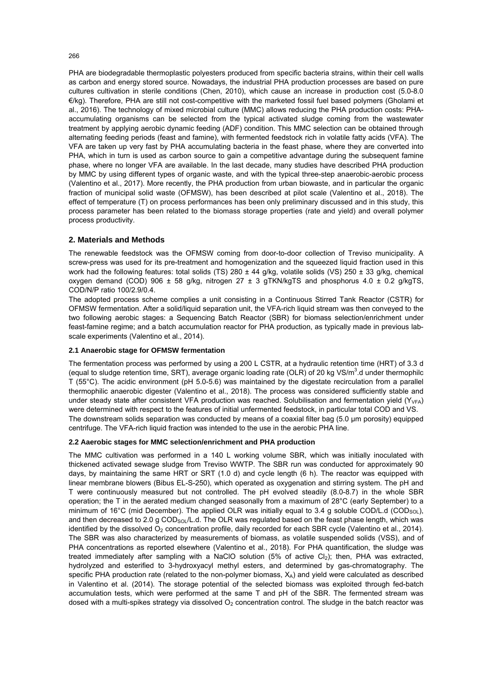PHA are biodegradable thermoplastic polyesters produced from specific bacteria strains, within their cell walls as carbon and energy stored source. Nowadays, the industrial PHA production processes are based on pure cultures cultivation in sterile conditions (Chen, 2010), which cause an increase in production cost (5.0-8.0 €/kg). Therefore, PHA are still not cost-competitive with the marketed fossil fuel based polymers (Gholami et al., 2016). The technology of mixed microbial culture (MMC) allows reducing the PHA production costs: PHAaccumulating organisms can be selected from the typical activated sludge coming from the wastewater treatment by applying aerobic dynamic feeding (ADF) condition. This MMC selection can be obtained through alternating feeding periods (feast and famine), with fermented feedstock rich in volatile fatty acids (VFA). The VFA are taken up very fast by PHA accumulating bacteria in the feast phase, where they are converted into PHA, which in turn is used as carbon source to gain a competitive advantage during the subsequent famine phase, where no longer VFA are available. In the last decade, many studies have described PHA production by MMC by using different types of organic waste, and with the typical three-step anaerobic-aerobic process (Valentino et al., 2017). More recently, the PHA production from urban biowaste, and in particular the organic fraction of municipal solid waste (OFMSW), has been described at pilot scale (Valentino et al., 2018). The effect of temperature (T) on process performances has been only preliminary discussed and in this study, this process parameter has been related to the biomass storage properties (rate and yield) and overall polymer process productivity.

## **2. Materials and Methods**

The renewable feedstock was the OFMSW coming from door-to-door collection of Treviso municipality. A screw-press was used for its pre-treatment and homogenization and the squeezed liquid fraction used in this work had the following features: total solids (TS) 280  $\pm$  44 g/kg, volatile solids (VS) 250  $\pm$  33 g/kg, chemical oxygen demand (COD) 906  $\pm$  58 g/kg, nitrogen 27  $\pm$  3 gTKN/kgTS and phosphorus 4.0  $\pm$  0.2 g/kgTS, COD/N/P ratio 100/2.9/0.4.

The adopted process scheme complies a unit consisting in a Continuous Stirred Tank Reactor (CSTR) for OFMSW fermentation. After a solid/liquid separation unit, the VFA-rich liquid stream was then conveyed to the two following aerobic stages: a Sequencing Batch Reactor (SBR) for biomass selection/enrichment under feast-famine regime; and a batch accumulation reactor for PHA production, as typically made in previous labscale experiments (Valentino et al., 2014).

## **2.1 Anaerobic stage for OFMSW fermentation**

The fermentation process was performed by using a 200 L CSTR, at a hydraulic retention time (HRT) of 3.3 d (equal to sludge retention time, SRT), average organic loading rate (OLR) of 20 kg VS/m<sup>3</sup>.d under thermophilc T (55°C). The acidic environment (pH 5.0-5.6) was maintained by the digestate recirculation from a parallel thermophilic anaerobic digester (Valentino et al., 2018). The process was considered sufficiently stable and under steady state after consistent VFA production was reached. Solubilisation and fermentation yield  $(Y_{VFA})$ were determined with respect to the features of initial unfermented feedstock, in particular total COD and VS. The downstream solids separation was conducted by means of a coaxial filter bag (5.0 μm porosity) equipped centrifuge. The VFA-rich liquid fraction was intended to the use in the aerobic PHA line.

## **2.2 Aaerobic stages for MMC selection/enrichment and PHA production**

The MMC cultivation was performed in a 140 L working volume SBR, which was initially inoculated with thickened activated sewage sludge from Treviso WWTP. The SBR run was conducted for approximately 90 days, by maintaining the same HRT or SRT (1.0 d) and cycle length (6 h). The reactor was equipped with linear membrane blowers (Bibus EL-S-250), which operated as oxygenation and stirring system. The pH and T were continuously measured but not controlled. The pH evolved steadily (8.0-8.7) in the whole SBR operation; the T in the aerated medium changed seasonally from a maximum of 28°C (early September) to a minimum of 16°C (mid December). The applied OLR was initially equal to 3.4 g soluble COD/L.d (COD<sub>SOL</sub>), and then decreased to 2.0 g COD<sub>SOL</sub>/L.d. The OLR was regulated based on the feast phase length, which was identified by the dissolved  $O<sub>2</sub>$  concentration profile, daily recorded for each SBR cycle (Valentino et al., 2014). The SBR was also characterized by measurements of biomass, as volatile suspended solids (VSS), and of PHA concentrations as reported elsewhere (Valentino et al., 2018). For PHA quantification, the sludge was treated immediately after sampling with a NaClO solution (5% of active CI<sub>2</sub>); then, PHA was extracted, hydrolyzed and esterified to 3-hydroxyacyl methyl esters, and determined by gas-chromatography. The specific PHA production rate (related to the non-polymer biomass,  $X_A$ ) and yield were calculated as described in Valentino et al. (2014). The storage potential of the selected biomass was exploited through fed-batch accumulation tests, which were performed at the same T and pH of the SBR. The fermented stream was dosed with a multi-spikes strategy via dissolved  $O<sub>2</sub>$  concentration control. The sludge in the batch reactor was

266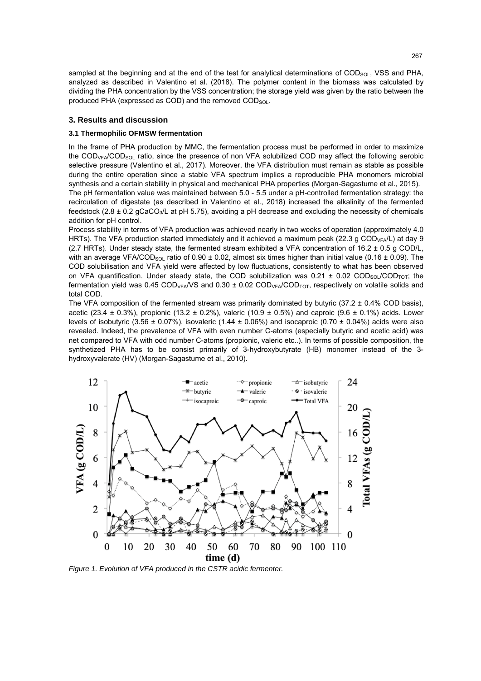sampled at the beginning and at the end of the test for analytical determinations of  $COD<sub>SOL</sub>$ , VSS and PHA, analyzed as described in Valentino et al. (2018). The polymer content in the biomass was calculated by dividing the PHA concentration by the VSS concentration; the storage yield was given by the ratio between the produced PHA (expressed as COD) and the removed  $COD<sub>SOL</sub>$ .

## **3. Results and discussion**

#### **3.1 Thermophilic OFMSW fermentation**

In the frame of PHA production by MMC, the fermentation process must be performed in order to maximize the COD<sub>VFA</sub>/COD<sub>SOL</sub> ratio, since the presence of non VFA solubilized COD may affect the following aerobic selective pressure (Valentino et al., 2017). Moreover, the VFA distribution must remain as stable as possible during the entire operation since a stable VFA spectrum implies a reproducible PHA monomers microbial synthesis and a certain stability in physical and mechanical PHA properties (Morgan-Sagastume et al., 2015). The pH fermentation value was maintained between 5.0 - 5.5 under a pH-controlled fermentation strategy: the

recirculation of digestate (as described in Valentino et al., 2018) increased the alkalinity of the fermented feedstock (2.8  $\pm$  0.2 gCaCO<sub>3</sub>/L at pH 5.75), avoiding a pH decrease and excluding the necessity of chemicals addition for pH control.

Process stability in terms of VFA production was achieved nearly in two weeks of operation (approximately 4.0 HRTs). The VFA production started immediately and it achieved a maximum peak (22.3 g COD<sub>VFA</sub>/L) at day 9 (2.7 HRTs). Under steady state, the fermented stream exhibited a VFA concentration of  $16.2 \pm 0.5$  g COD/L, with an average VFA/COD<sub>SOL</sub> ratio of 0.90  $\pm$  0.02, almost six times higher than initial value (0.16  $\pm$  0.09). The COD solubilisation and VFA yield were affected by low fluctuations, consistently to what has been observed on VFA quantification. Under steady state, the COD solubilization was  $0.21 \pm 0.02$  COD<sub>SOL</sub>/COD<sub>TOT</sub>; the fermentation yield was 0.45 COD<sub>VFA</sub>/VS and 0.30  $\pm$  0.02 COD<sub>VFA</sub>/COD<sub>TOT</sub>, respectively on volatile solids and total COD.

The VFA composition of the fermented stream was primarily dominated by butyric  $(37.2 \pm 0.4\%$  COD basis), acetic (23.4  $\pm$  0.3%), propionic (13.2  $\pm$  0.2%), valeric (10.9  $\pm$  0.5%) and caproic (9.6  $\pm$  0.1%) acids. Lower levels of isobutyric (3.56  $\pm$  0.07%), isovaleric (1.44  $\pm$  0.06%) and isocaproic (0.70  $\pm$  0.04%) acids were also revealed. Indeed, the prevalence of VFA with even number C-atoms (especially butyric and acetic acid) was net compared to VFA with odd number C-atoms (propionic, valeric etc..). In terms of possible composition, the synthetized PHA has to be consist primarily of 3-hydroxybutyrate (HB) monomer instead of the 3 hydroxyvalerate (HV) (Morgan-Sagastume et al., 2010).



*Figure 1. Evolution of VFA produced in the CSTR acidic fermenter.*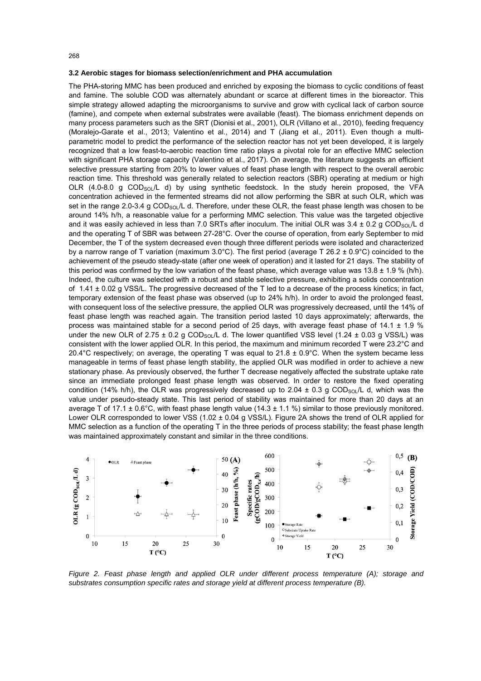#### 268

#### **3.2 Aerobic stages for biomass selection/enrichment and PHA accumulation**

The PHA-storing MMC has been produced and enriched by exposing the biomass to cyclic conditions of feast and famine. The soluble COD was alternately abundant or scarce at different times in the bioreactor. This simple strategy allowed adapting the microorganisms to survive and grow with cyclical lack of carbon source (famine), and compete when external substrates were available (feast). The biomass enrichment depends on many process parameters such as the SRT (Dionisi et al., 2001), OLR (Villano et al., 2010), feeding frequency (Moralejo-Garate et al., 2013; Valentino et al., 2014) and T (Jiang et al., 2011). Even though a multiparametric model to predict the performance of the selection reactor has not yet been developed, it is largely recognized that a low feast-to-aerobic reaction time ratio plays a pivotal role for an effective MMC selection with significant PHA storage capacity (Valentino et al., 2017). On average, the literature suggests an efficient selective pressure starting from 20% to lower values of feast phase length with respect to the overall aerobic reaction time. This threshold was generally related to selection reactors (SBR) operating at medium or high OLR (4.0-8.0 g COD<sub>SOL</sub>/L d) by using synthetic feedstock. In the study herein proposed, the VFA concentration achieved in the fermented streams did not allow performing the SBR at such OLR, which was set in the range 2.0-3.4 g COD<sub>SOL</sub>/L d. Therefore, under these OLR, the feast phase length was chosen to be around 14% h/h, a reasonable value for a performing MMC selection. This value was the targeted objective and it was easily achieved in less than 7.0 SRTs after inoculum. The initial OLR was  $3.4 \pm 0.2$  g COD<sub>SOL</sub>/L d and the operating T of SBR was between 27-28°C. Over the course of operation, from early September to mid December, the T of the system decreased even though three different periods were isolated and characterized by a narrow range of T variation (maximum 3.0°C). The first period (average T 26.2  $\pm$  0.9°C) coincided to the achievement of the pseudo steady-state (after one week of operation) and it lasted for 21 days. The stability of this period was confirmed by the low variation of the feast phase, which average value was  $13.8 \pm 1.9$  % (h/h). Indeed, the culture was selected with a robust and stable selective pressure, exhibiting a solids concentration of  $1.41 \pm 0.02$  g VSS/L. The progressive decreased of the T led to a decrease of the process kinetics; in fact, temporary extension of the feast phase was observed (up to 24% h/h). In order to avoid the prolonged feast, with consequent loss of the selective pressure, the applied OLR was progressively decreased, until the 14% of feast phase length was reached again. The transition period lasted 10 days approximately; afterwards, the process was maintained stable for a second period of 25 days, with average feast phase of 14.1 ± 1.9 % under the new OLR of  $2.75 \pm 0.2$  g COD<sub>SOL</sub>/L d. The lower quantified VSS level (1.24  $\pm$  0.03 g VSS/L) was consistent with the lower applied OLR. In this period, the maximum and minimum recorded T were 23.2°C and 20.4°C respectively; on average, the operating T was equal to  $21.8 \pm 0.9$ °C. When the system became less manageable in terms of feast phase length stability, the applied OLR was modified in order to achieve a new stationary phase. As previously observed, the further T decrease negatively affected the substrate uptake rate since an immediate prolonged feast phase length was observed. In order to restore the fixed operating condition (14% h/h), the OLR was progressively decreased up to 2.04  $\pm$  0.3 g COD<sub>SOL</sub>/L d, which was the value under pseudo-steady state. This last period of stability was maintained for more than 20 days at an average T of 17.1  $\pm$  0.6°C, with feast phase length value (14.3  $\pm$  1.1 %) similar to those previously monitored. Lower OLR corresponded to lower VSS (1.02 ± 0.04 g VSS/L). Figure 2A shows the trend of OLR applied for MMC selection as a function of the operating T in the three periods of process stability; the feast phase length was maintained approximately constant and similar in the three conditions.



*Figure 2. Feast phase length and applied OLR under different process temperature (A); storage and substrates consumption specific rates and storage yield at different process temperature (B).*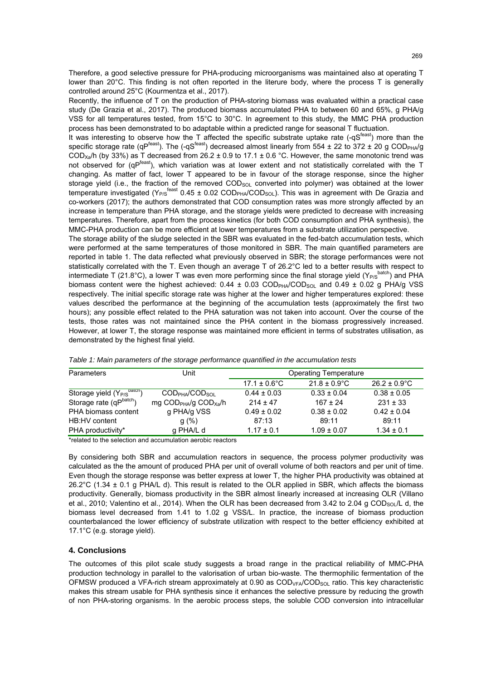Therefore, a good selective pressure for PHA-producing microorganisms was maintained also at operating T lower than 20°C. This finding is not often reported in the literure body, where the process T is generally controlled around 25°C (Kourmentza et al., 2017).

Recently, the influence of T on the production of PHA-storing biomass was evaluated within a practical case study (De Grazia et al., 2017). The produced biomass accumulated PHA to between 60 and 65%, g PHA/g VSS for all temperatures tested, from 15°C to 30°C. In agreement to this study, the MMC PHA production process has been demonstrated to bo adaptable within a predicted range for seasonal T fluctuation.

It was interesting to observe how the T affected the specific substrate uptake rate  $(-qS<sup>feast</sup>)$  more than the specific storage rate (qP<sup>feast</sup>). The (-qS<sup>feast</sup>) decreased almost linearly from 554 ± 22 to 372 ± 20 g COD<sub>PHA</sub>/g COD<sub>Xa</sub>/h (by 33%) as T decreased from 26.2 ± 0.9 to 17.1 ± 0.6 °C. However, the same monotonic trend was not observed for (qP<sup>feast</sup>), which variation was at lower extent and not statistically correlated with the T changing. As matter of fact, lower T appeared to be in favour of the storage response, since the higher storage yield (i.e., the fraction of the removed COD<sub>SOL</sub> converted into polymer) was obtained at the lower temperature investigated (Y<sub>P/S</sub><sup>feast</sup> 0.45 ± 0.02 COD<sub>PHA</sub>/COD<sub>SOL</sub>). This was in agreement with De Grazia and co-workers (2017); the authors demonstrated that COD consumption rates was more strongly affected by an increase in temperature than PHA storage, and the storage yields were predicted to decrease with increasing temperatures. Therefore, apart from the process kinetics (for both COD consumption and PHA synthesis), the MMC-PHA production can be more efficient at lower temperatures from a substrate utilization perspective.

The storage ability of the sludge selected in the SBR was evaluated in the fed-batch accumulation tests, which were performed at the same temperatures of those monitored in SBR. The main quantified parameters are reported in table 1. The data reflected what previously observed in SBR; the storage performances were not statistically correlated with the T. Even though an average T of 26.2°C led to a better results with respect to intermediate T (21.8°C), a lower T was even more performing since the final storage yield (Y<sub>P/S</sub>batch) and PHA biomass content were the highest achieved:  $0.44 \pm 0.03$  COD<sub>PHA</sub>/COD<sub>SOL</sub> and  $0.49 \pm 0.02$  g PHA/g VSS respectively. The initial specific storage rate was higher at the lower and higher temperatures explored: these values described the performance at the beginning of the accumulation tests (approximately the first two hours); any possible effect related to the PHA saturation was not taken into account. Over the course of the tests, those rates was not maintained since the PHA content in the biomass progressively increased. However, at lower T, the storage response was maintained more efficient in terms of substrates utilisation, as demonstrated by the highest final yield.

| Parameters                             | Jnit                                                                    | Operating Temperature    |                          |                          |
|----------------------------------------|-------------------------------------------------------------------------|--------------------------|--------------------------|--------------------------|
|                                        |                                                                         | $17.1 \pm 0.6^{\circ}$ C | $21.8 \pm 0.9^{\circ}$ C | $26.2 \pm 0.9^{\circ}$ C |
| Storage yield (Y <sub>P/S</sub> batch) | CODPHA/CODSOL                                                           | $0.44 \pm 0.03$          | $0.33 \pm 0.04$          | $0.38 \pm 0.05$          |
| Storage rate (qPbatch)                 | mg $\text{COD}_{\text{PHA}}/\text{g}$ $\text{COD}_{\text{Xa}}/\text{h}$ | $214 \pm 47$             | $167 \pm 24$             | $231 \pm 33$             |
| PHA biomass content                    | g PHA/g VSS                                                             | $0.49 \pm 0.02$          | $0.38 \pm 0.02$          | $0.42 \pm 0.04$          |
| HB:HV content                          | g(%)                                                                    | 87:13                    | 89:11                    | 89:11                    |
| PHA productivity*                      | g PHA/L d                                                               | $1.17 \pm 0.1$           | $1.09 \pm 0.07$          | $1.34 \pm 0.1$           |

*Table 1: Main parameters of the storage performance quantified in the accumulation tests* 

\*related to the selection and accumulation aerobic reactors

By considering both SBR and accumulation reactors in sequence, the process polymer productivity was calculated as the the amount of produced PHA per unit of overall volume of both reactors and per unit of time. Even though the storage response was better express at lower T, the higher PHA productivity was obtained at 26.2°C (1.34 ± 0.1 g PHA/L d). This result is related to the OLR applied in SBR, which affects the biomass productivity. Generally, biomass productivity in the SBR almost linearly increased at increasing OLR (Villano et al., 2010; Valentino et al., 2014). When the OLR has been decreased from 3.42 to 2.04 g COD<sub>SOL</sub>/L d, the biomass level decreased from 1.41 to 1.02 g VSS/L. In practice, the increase of biomass production counterbalanced the lower efficiency of substrate utilization with respect to the better efficiency exhibited at 17.1°C (e.g. storage yield).

# **4. Conclusions**

The outcomes of this pilot scale study suggests a broad range in the practical reliability of MMC-PHA production technology in parallel to the valorisation of urban bio-waste. The thermophilic fermentation of the OFMSW produced a VFA-rich stream approximately at 0.90 as  $\text{COD}_{\text{VFA}}/\text{COD}_{\text{SOL}}$  ratio. This key characteristic makes this stream usable for PHA synthesis since it enhances the selective pressure by reducing the growth of non PHA-storing organisms. In the aerobic process steps, the soluble COD conversion into intracellular